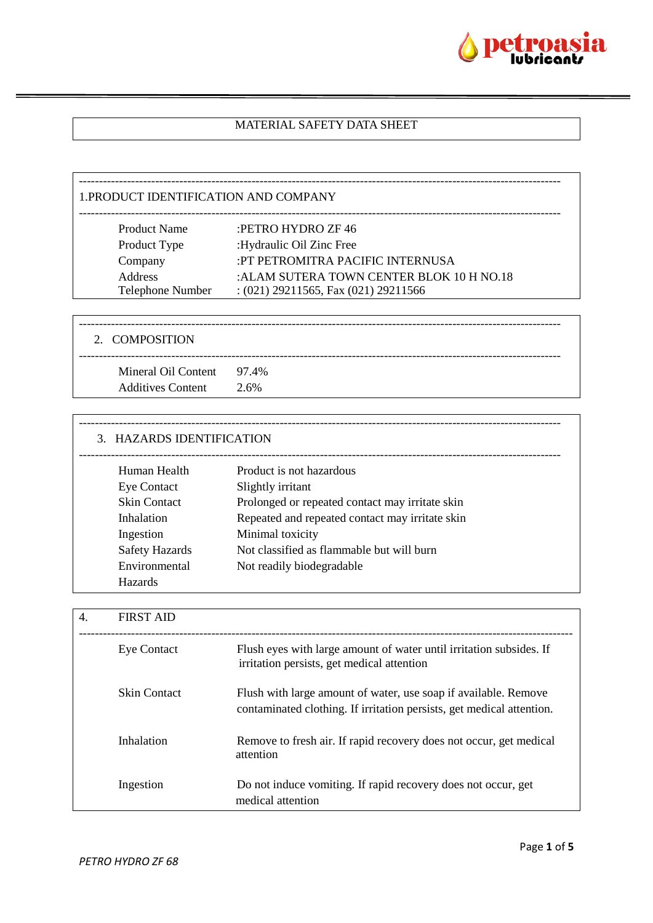

## MATERIAL SAFETY DATA SHEET

| :PETRO HYDRO ZF 46<br><b>Product Name</b><br>:Hydraulic Oil Zinc Free<br>Product Type<br>:PT PETROMITRA PACIFIC INTERNUSA<br>Company<br>: ALAM SUTERA TOWN CENTER BLOK 10 H NO.18<br><b>Address</b> | 1. PRODUCT IDENTIFICATION AND COMPANY |                                        |  |
|-----------------------------------------------------------------------------------------------------------------------------------------------------------------------------------------------------|---------------------------------------|----------------------------------------|--|
|                                                                                                                                                                                                     | <b>Telephone Number</b>               | $(021)$ 29211565, Fax $(021)$ 29211566 |  |

| 2. COMPOSITION                                        |      |
|-------------------------------------------------------|------|
| Mineral Oil Content 97.4%<br><b>Additives Content</b> | 2.6% |

| 3. HAZARDS IDENTIFICATION |                                                 |
|---------------------------|-------------------------------------------------|
| Human Health              | Product is not hazardous                        |
| <b>Eye Contact</b>        | Slightly irritant                               |
| <b>Skin Contact</b>       | Prolonged or repeated contact may irritate skin |
| Inhalation                | Repeated and repeated contact may irritate skin |
| Ingestion                 | Minimal toxicity                                |
| <b>Safety Hazards</b>     | Not classified as flammable but will burn       |
| Environmental             | Not readily biodegradable                       |
| <b>Hazards</b>            |                                                 |

| 4. | <b>FIRST AID</b>    |                                                                                                                                          |
|----|---------------------|------------------------------------------------------------------------------------------------------------------------------------------|
|    | <b>Eye Contact</b>  | Flush eyes with large amount of water until irritation subsides. If<br>irritation persists, get medical attention                        |
|    | <b>Skin Contact</b> | Flush with large amount of water, use soap if available. Remove<br>contaminated clothing. If irritation persists, get medical attention. |
|    | Inhalation          | Remove to fresh air. If rapid recovery does not occur, get medical<br>attention                                                          |
|    | Ingestion           | Do not induce vomiting. If rapid recovery does not occur, get<br>medical attention                                                       |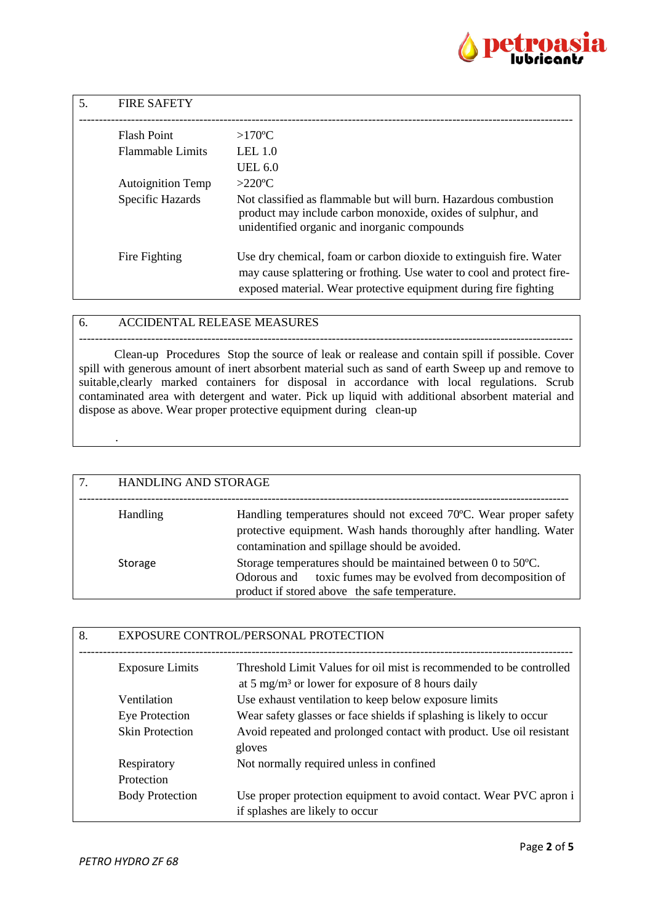

| 5. | <b>FIRE SAFETY</b>       |                                                                                                                                                                                                                  |
|----|--------------------------|------------------------------------------------------------------------------------------------------------------------------------------------------------------------------------------------------------------|
|    | <b>Flash Point</b>       | $>170^{\circ}$ C                                                                                                                                                                                                 |
|    | <b>Flammable Limits</b>  | LEL $1.0$                                                                                                                                                                                                        |
|    |                          | <b>UEL 6.0</b>                                                                                                                                                                                                   |
|    | <b>Autoignition Temp</b> | $>220$ °C                                                                                                                                                                                                        |
|    | Specific Hazards         | Not classified as flammable but will burn. Hazardous combustion<br>product may include carbon monoxide, oxides of sulphur, and<br>unidentified organic and inorganic compounds                                   |
|    | Fire Fighting            | Use dry chemical, foam or carbon dioxide to extinguish fire. Water<br>may cause splattering or frothing. Use water to cool and protect fire-<br>exposed material. Wear protective equipment during fire fighting |

### 6. ACCIDENTAL RELEASE MEASURES

--------------------------------------------------------------------------------------------------------------------------- Clean-up Procedures Stop the source of leak or realease and contain spill if possible. Cover spill with generous amount of inert absorbent material such as sand of earth Sweep up and remove to suitable,clearly marked containers for disposal in accordance with local regulations. Scrub contaminated area with detergent and water. Pick up liquid with additional absorbent material and dispose as above. Wear proper protective equipment during clean-up

| 7. | HANDLING AND STORAGE |                                                                                                                                                                                        |
|----|----------------------|----------------------------------------------------------------------------------------------------------------------------------------------------------------------------------------|
|    | <b>Handling</b>      | Handling temperatures should not exceed 70°C. Wear proper safety<br>protective equipment. Wash hands thoroughly after handling. Water<br>contamination and spillage should be avoided. |
|    | <b>Storage</b>       | Storage temperatures should be maintained between 0 to 50°C.<br>toxic fumes may be evolved from decomposition of<br>Odorous and<br>product if stored above the safe temperature.       |

| 8. | EXPOSURE CONTROL/PERSONAL PROTECTION |                                                                                                                                      |
|----|--------------------------------------|--------------------------------------------------------------------------------------------------------------------------------------|
|    | <b>Exposure Limits</b>               | Threshold Limit Values for oil mist is recommended to be controlled<br>at 5 mg/m <sup>3</sup> or lower for exposure of 8 hours daily |
|    | Ventilation                          | Use exhaust ventilation to keep below exposure limits                                                                                |
|    | Eye Protection                       | Wear safety glasses or face shields if splashing is likely to occur                                                                  |
|    | <b>Skin Protection</b>               | Avoid repeated and prolonged contact with product. Use oil resistant<br>gloves                                                       |
|    | Respiratory                          | Not normally required unless in confined                                                                                             |
|    | Protection                           |                                                                                                                                      |
|    | <b>Body Protection</b>               | Use proper protection equipment to avoid contact. Wear PVC apron i<br>if splashes are likely to occur                                |

.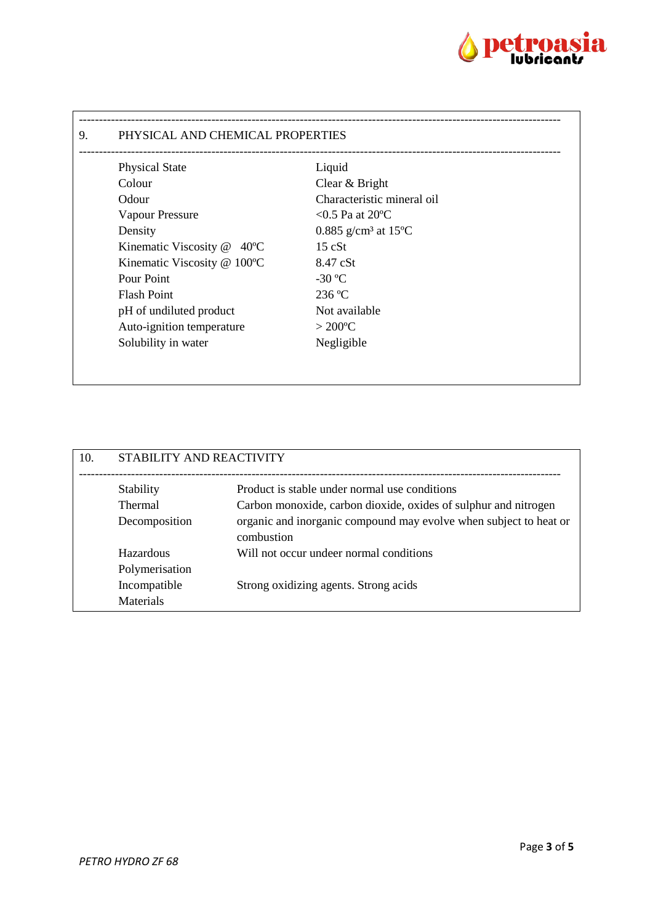

| <b>Physical State</b>        | Liquid                                       |
|------------------------------|----------------------------------------------|
| Colour                       | Clear & Bright                               |
| Odour                        | Characteristic mineral oil                   |
| <b>Vapour Pressure</b>       | $< 0.5$ Pa at 20 °C                          |
| Density                      | 0.885 g/cm <sup>3</sup> at 15 <sup>o</sup> C |
| Kinematic Viscosity $@$ 40°C | 15 cSt                                       |
| Kinematic Viscosity @ 100°C  | 8.47 cSt                                     |
| Pour Point                   | $-30$ °C                                     |
| <b>Flash Point</b>           | 236 °C                                       |
| pH of undiluted product      | Not available                                |
| Auto-ignition temperature    | $>200^{\circ}C$                              |
| Solubility in water          | Negligible                                   |

| 10. | STABILITY AND REACTIVITY |                                                                                 |
|-----|--------------------------|---------------------------------------------------------------------------------|
|     | Stability                | Product is stable under normal use conditions                                   |
|     | <b>Thermal</b>           | Carbon monoxide, carbon dioxide, oxides of sulphur and nitrogen                 |
|     | Decomposition            | organic and inorganic compound may evolve when subject to heat or<br>combustion |
|     | Hazardous                | Will not occur undeer normal conditions                                         |
|     | Polymerisation           |                                                                                 |
|     | Incompatible             | Strong oxidizing agents. Strong acids                                           |
|     | Materials                |                                                                                 |

 $\overline{1}$ 

 $\overline{\phantom{a}}$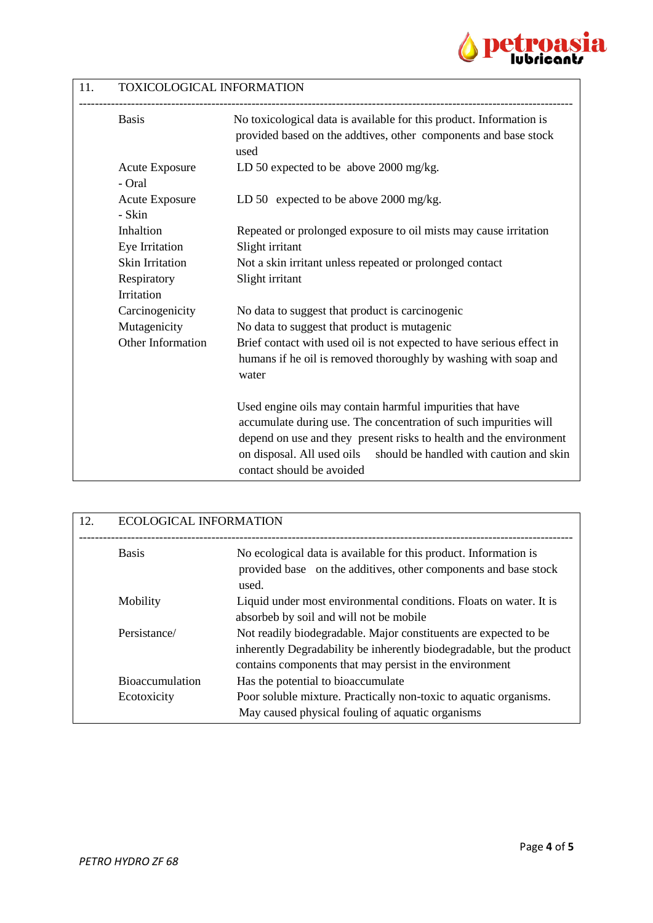

# 11. TOXICOLOGICAL INFORMATION

| <b>Basis</b>                    | No toxicological data is available for this product. Information is<br>provided based on the addtives, other components and base stock<br>used                           |
|---------------------------------|--------------------------------------------------------------------------------------------------------------------------------------------------------------------------|
| <b>Acute Exposure</b><br>- Oral | LD 50 expected to be above 2000 mg/kg.                                                                                                                                   |
| <b>Acute Exposure</b><br>- Skin | LD 50 expected to be above 2000 mg/kg.                                                                                                                                   |
| Inhaltion                       | Repeated or prolonged exposure to oil mists may cause irritation                                                                                                         |
| Eye Irritation                  | Slight irritant                                                                                                                                                          |
| Skin Irritation                 | Not a skin irritant unless repeated or prolonged contact                                                                                                                 |
| Respiratory                     | Slight irritant                                                                                                                                                          |
| Irritation                      |                                                                                                                                                                          |
| Carcinogenicity                 | No data to suggest that product is carcinogenic                                                                                                                          |
| Mutagenicity                    | No data to suggest that product is mutagenic                                                                                                                             |
| Other Information               | Brief contact with used oil is not expected to have serious effect in                                                                                                    |
|                                 | humans if he oil is removed thoroughly by washing with soap and<br>water                                                                                                 |
|                                 | Used engine oils may contain harmful impurities that have                                                                                                                |
|                                 | accumulate during use. The concentration of such impurities will                                                                                                         |
|                                 | depend on use and they present risks to health and the environment<br>on disposal. All used oils<br>should be handled with caution and skin<br>contact should be avoided |
|                                 |                                                                                                                                                                          |

| 12. | <b>ECOLOGICAL INFORMATION</b>         |                                                                                                                                                                                                      |
|-----|---------------------------------------|------------------------------------------------------------------------------------------------------------------------------------------------------------------------------------------------------|
|     | <b>Basis</b>                          | No ecological data is available for this product. Information is<br>provided base on the additives, other components and base stock<br>used.                                                         |
|     | Mobility                              | Liquid under most environmental conditions. Floats on water. It is<br>absorbeb by soil and will not be mobile                                                                                        |
|     | Persistance/                          | Not readily biodegradable. Major constituents are expected to be<br>inherently Degradability be inherently biodegradable, but the product<br>contains components that may persist in the environment |
|     | <b>Bioaccumulation</b><br>Ecotoxicity | Has the potential to bioaccumulate<br>Poor soluble mixture. Practically non-toxic to aquatic organisms.<br>May caused physical fouling of aquatic organisms                                          |